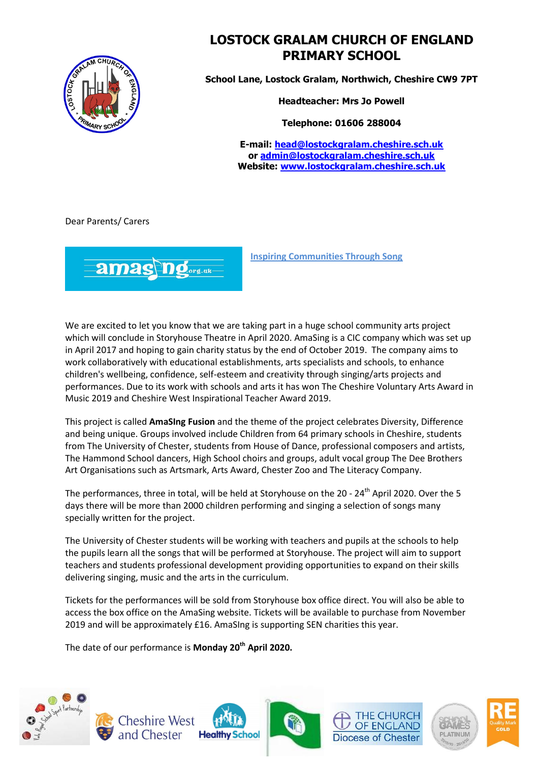

## **LOSTOCK GRALAM CHURCH OF ENGLAND PRIMARY SCHOOL**

**School Lane, Lostock Gralam, Northwich, Cheshire CW9 7PT**

**Headteacher: Mrs Jo Powell**

**Telephone: 01606 288004**

**E-mail: [head@lostockgralam.cheshire.sch.uk](mailto:head@lostockgralam.cheshire.sch.uk) or [admin@lostockgralam.cheshire.sch.uk](mailto:admin@lostockgralam.cheshire.sch.uk) Website: [www.lostockgralam.cheshire.sch.uk](http://www.lostockgralam.cheshire.sch.uk/)**

Dear Parents/ Carers



**Inspiring Communities Through Song**

We are excited to let you know that we are taking part in a huge school community arts project which will conclude in Storyhouse Theatre in April 2020. AmaSing is a CIC company which was set up in April 2017 and hoping to gain charity status by the end of October 2019. The company aims to work collaboratively with educational establishments, arts specialists and schools, to enhance children's wellbeing, confidence, self-esteem and creativity through singing/arts projects and performances. Due to its work with schools and arts it has won The Cheshire Voluntary Arts Award in Music 2019 and Cheshire West Inspirational Teacher Award 2019.

This project is called **AmaSIng Fusion** and the theme of the project celebrates Diversity, Difference and being unique. Groups involved include Children from 64 primary schools in Cheshire, students from The University of Chester, students from House of Dance, professional composers and artists, The Hammond School dancers, High School choirs and groups, adult vocal group The Dee Brothers Art Organisations such as Artsmark, Arts Award, Chester Zoo and The Literacy Company.

The performances, three in total, will be held at Storyhouse on the 20 - 24<sup>th</sup> April 2020. Over the 5 days there will be more than 2000 children performing and singing a selection of songs many specially written for the project.

The University of Chester students will be working with teachers and pupils at the schools to help the pupils learn all the songs that will be performed at Storyhouse. The project will aim to support teachers and students professional development providing opportunities to expand on their skills delivering singing, music and the arts in the curriculum.

Tickets for the performances will be sold from Storyhouse box office direct. You will also be able to access the box office on the AmaSing website. Tickets will be available to purchase from November 2019 and will be approximately £16. AmaSIng is supporting SEN charities this year.

The date of our performance is **Monday 20th April 2020.**